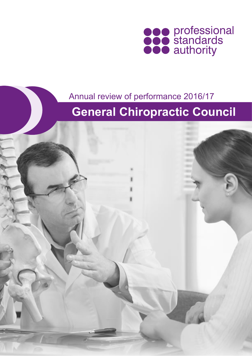

### Annual review of performance 2016/17

# **General Chiropractic Council**

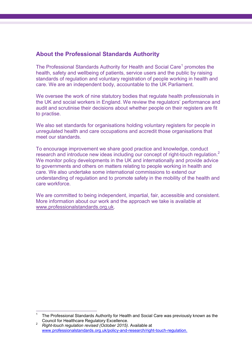#### **About the Professional Standards Authority**

The Professional Standards Authority for Health and Social Care<sup>1</sup> promotes the health, safety and wellbeing of patients, service users and the public by raising standards of regulation and voluntary registration of people working in health and care. We are an independent body, accountable to the UK Parliament.

We oversee the work of nine statutory bodies that regulate health professionals in the UK and social workers in England. We review the regulators' performance and audit and scrutinise their decisions about whether people on their registers are fit to practise.

We also set standards for organisations holding voluntary registers for people in unregulated health and care occupations and accredit those organisations that meet our standards.

To encourage improvement we share good practice and knowledge, conduct research and introduce new ideas including our concept of right-touch regulation.<sup>2</sup> We monitor policy developments in the UK and internationally and provide advice to governments and others on matters relating to people working in health and care. We also undertake some international commissions to extend our understanding of regulation and to promote safety in the mobility of the health and care workforce.

We are committed to being independent, impartial, fair, accessible and consistent. More information about our work and the approach we take is available at [www.professionalstandards.org.uk.](http://www.professionalstandards.org.uk/)

 $\overline{a}$ 1 The Professional Standards Authority for Health and Social Care was previously known as the Council for Healthcare Regulatory Excellence.

<sup>2</sup> *Right-touch regulation revised (October 2015)*. Available at [www.professionalstandards.org.uk/policy-and-research/right-touch-regulation.](http://www.professionalstandards.org.uk/policy-and-research/right-touch-regulation)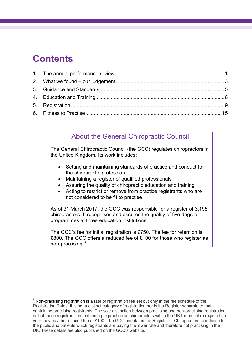# **Contents**

 $\frac{1}{2}$ 

### About the General Chiropractic Council

The General Chiropractic Council (the GCC) regulates chiropractors in the United Kingdom. Its work includes:

- Setting and maintaining standards of practice and conduct for the chiropractic profession
- Maintaining a register of qualified professionals
- Assuring the quality of chiropractic education and training
- Acting to restrict or remove from practice registrants who are not considered to be fit to practise.

As of 31 March 2017, the GCC was responsible for a register of 3,195 chiropractors. It recognises and assures the quality of five degree programmes at three education institutions.

The GCC's fee for initial registration is £750. The fee for retention is £800. The GCC offers a reduced fee of £100 for those who register as non-practising.<sup>3</sup>

 $3$  Non-practising registration is a rate of registration fee set out only in the fee schedule of the Registration Rules. It is not a distinct category of registration nor is it a Register separate to that containing practising registrants. The sole distinction between practising and non-practising registration is that those registrants not intending to practise as chiropractors within the UK for an entire registration year may pay the reduced fee of £100. The GCC annotates the Register of Chiropractors to indicate to the public and patients which registrants are paying the lower rate and therefore not practising in the UK. These details are also published on the GCC's website.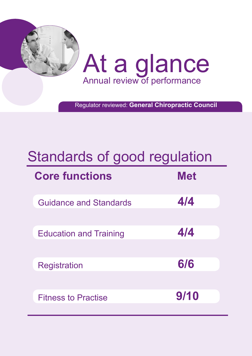

Regulator reviewed: **General Chiropractic Council**

# Standards of good regulation

| <b>Core functions</b>         | <b>Met</b> |
|-------------------------------|------------|
| <b>Guidance and Standards</b> | 4/4        |
| <b>Education and Training</b> | 4/4        |
| <b>Registration</b>           | 6/6        |
| <b>Fitness to Practise</b>    | 9/10       |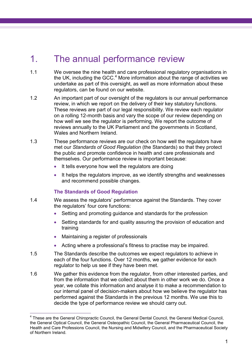### <span id="page-4-0"></span>1. The annual performance review

- 1.1 We oversee the nine health and care professional regulatory organisations in the UK, including the GCC. $<sup>4</sup>$  More information about the range of activities we</sup> undertake as part of this oversight, as well as more information about these regulators, can be found on our website.
- 1.2 An important part of our oversight of the regulators is our annual performance review, in which we report on the delivery of their key statutory functions. These reviews are part of our legal responsibility. We review each regulator on a rolling 12-month basis and vary the scope of our review depending on how well we see the regulator is performing. We report the outcome of reviews annually to the UK Parliament and the governments in Scotland, Wales and Northern Ireland.
- 1.3 These performance reviews are our check on how well the regulators have met our *Standards of Good Regulation* (the Standards) so that they protect the public and promote confidence in health and care professionals and themselves. Our performance review is important because:
	- It tells everyone how well the regulators are doing
	- It helps the regulators improve, as we identify strengths and weaknesses and recommend possible changes.

#### **The Standards of Good Regulation**

- 1.4 We assess the regulators' performance against the Standards. They cover the regulators' four core functions:
	- Setting and promoting guidance and standards for the profession
	- Setting standards for and quality assuring the provision of education and training
	- Maintaining a register of professionals
	- Acting where a professional's fitness to practise may be impaired.
- 1.5 The Standards describe the outcomes we expect regulators to achieve in each of the four functions. Over 12 months, we gather evidence for each regulator to help us see if they have been met.
- 1.6 We gather this evidence from the regulator, from other interested parties, and from the information that we collect about them in other work we do. Once a year, we collate this information and analyse it to make a recommendation to our internal panel of decision-makers about how we believe the regulator has performed against the Standards in the previous 12 months. We use this to decide the type of performance review we should carry out.

 4 These are the General Chiropractic Council, the General Dental Council, the General Medical Council, the General Optical Council, the General Osteopathic Council, the General Pharmaceutical Council, the Health and Care Professions Council, the Nursing and Midwifery Council, and the Pharmaceutical Society of Northern Ireland.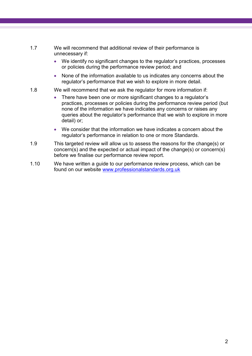- 1.7 We will recommend that additional review of their performance is unnecessary if:
	- We identify no significant changes to the regulator's practices, processes or policies during the performance review period; and
	- None of the information available to us indicates any concerns about the regulator's performance that we wish to explore in more detail.
- 1.8 We will recommend that we ask the regulator for more information if:
	- There have been one or more significant changes to a regulator's practices, processes or policies during the performance review period (but none of the information we have indicates any concerns or raises any queries about the regulator's performance that we wish to explore in more detail) or;
	- We consider that the information we have indicates a concern about the regulator's performance in relation to one or more Standards.
- 1.9 This targeted review will allow us to assess the reasons for the change(s) or concern(s) and the expected or actual impact of the change(s) or concern(s) before we finalise our performance review report.
- 1.10 We have written a guide to our performance review process, which can be found on our website [www.professionalstandards.org.uk](http://www.professionalstandards.org.uk/)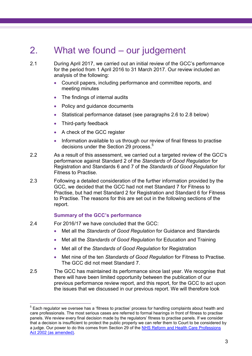# <span id="page-6-0"></span>2. What we found – our judgement

2.1 During April 2017, we carried out an initial review of the GCC's performance for the period from 1 April 2016 to 31 March 2017. Our review included an analysis of the following:

- Council papers, including performance and committee reports, and meeting minutes
- The findings of internal audits
- Policy and guidance documents
- Statistical performance dataset (see paragraphs 2.6 to 2.8 below)
- Third-party feedback
- A check of the GCC register
- <span id="page-6-1"></span>• Information available to us through our review of final fitness to practise decisions under the Section 29 process.<sup>5</sup>
- 2.2 As a result of this assessment, we carried out a targeted review of the GCC's performance against Standard 2 of the *Standards of Good Regulation* for Registration and Standards 6 and 7 of the *Standards of Good Regulation* for Fitness to Practise.
- 2.3 Following a detailed consideration of the further information provided by the GCC, we decided that the GCC had not met Standard 7 for Fitness to Practise, but had met Standard 2 for Registration and Standard 6 for Fitness to Practise. The reasons for this are set out in the following sections of the report.

#### **Summary of the GCC's performance**

2.4 For 2016/17 we have concluded that the GCC:

 $\overline{a}$ 

- Met all the *Standards of Good Regulation* for Guidance and Standards
- Met all the *Standards of Good Regulation* for Education and Training
- Met all of the *Standards of Good Regulation* for Registration
- Met nine of the ten *Standards of Good Regulation* for Fitness to Practise. The GCC did not meet Standard 7.
- 2.5 The GCC has maintained its performance since last year. We recognise that there will have been limited opportunity between the publication of our previous performance review report, and this report, for the GCC to act upon the issues that we discussed in our previous report. We will therefore look

 $5$  Each regulator we oversee has a 'fitness to practise' process for handling complaints about health and care professionals. The most serious cases are referred to formal hearings in front of fitness to practise panels. We review every final decision made by the regulators' fitness to practise panels. If we consider that a decision is insufficient to protect the public properly we can refer them to Court to be considered by a judge. Our power to do this comes from Section 29 of the [NHS Reform and Health Care Professions](http://www.legislation.gov.uk/ukpga/2002/17/contents)  [Act 2002 \(as amended\).](http://www.legislation.gov.uk/ukpga/2002/17/contents)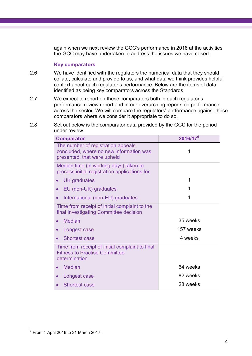again when we next review the GCC's performance in 2018 at the activities the GCC may have undertaken to address the issues we have raised.

#### **Key comparators**

- 2.6 We have identified with the regulators the numerical data that they should collate, calculate and provide to us, and what data we think provides helpful context about each regulator's performance. Below are the items of data identified as being key comparators across the Standards.
- 2.7 We expect to report on these comparators both in each regulator's performance review report and in our overarching reports on performance across the sector. We will compare the regulators' performance against these comparators where we consider it appropriate to do so.
- 2.8 Set out below is the comparator data provided by the GCC for the period under review.

| <b>Comparator</b>                                                                                            | 2016/17 <sup>6</sup> |  |  |
|--------------------------------------------------------------------------------------------------------------|----------------------|--|--|
| The number of registration appeals<br>concluded, where no new information was<br>presented, that were upheld |                      |  |  |
| Median time (in working days) taken to<br>process initial registration applications for                      |                      |  |  |
| <b>UK</b> graduates                                                                                          |                      |  |  |
| EU (non-UK) graduates<br>$\bullet$                                                                           |                      |  |  |
| International (non-EU) graduates<br>$\bullet$                                                                | 1                    |  |  |
| Time from receipt of initial complaint to the<br>final Investigating Committee decision                      |                      |  |  |
| <b>Median</b>                                                                                                | 35 weeks             |  |  |
| Longest case<br>$\bullet$                                                                                    | 157 weeks            |  |  |
| <b>Shortest case</b>                                                                                         | 4 weeks              |  |  |
| Time from receipt of initial complaint to final<br><b>Fitness to Practise Committee</b><br>determination     |                      |  |  |
| <b>Median</b>                                                                                                | 64 weeks             |  |  |
| Longest case                                                                                                 | 82 weeks             |  |  |
| <b>Shortest case</b>                                                                                         | 28 weeks             |  |  |

 6 From 1 April 2016 to 31 March 2017.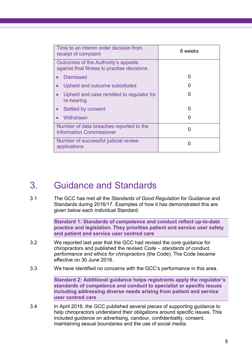| Time to an interim order decision from<br>receipt of complaint                     | 8 weeks |  |
|------------------------------------------------------------------------------------|---------|--|
| Outcomes of the Authority's appeals<br>against final fitness to practise decisions |         |  |
| <b>Dismissed</b>                                                                   |         |  |
| Upheld and outcome substituted                                                     |         |  |
| Upheld and case remitted to regulator for<br>re-hearing                            |         |  |
| Settled by consent                                                                 |         |  |
| Withdrawn                                                                          |         |  |
| Number of data breaches reported to the<br><b>Information Commissioner</b>         |         |  |
| Number of successful judicial review<br>applications                               |         |  |

### <span id="page-8-0"></span>3. Guidance and Standards

3.1 The GCC has met all the *Standards of Good Regulation* for Guidance and Standards during 2016/17. Examples of how it has demonstrated this are given below each individual Standard.

> **Standard 1: Standards of competence and conduct reflect up-to-date practice and legislation. They prioritise patient and service user safety and patient and service user centred care**

- 3.2 We reported last year that the GCC had revised the core guidance for chiropractors and published the revised *Code – standards of conduct, performance and ethics for chiropractors* (the Code). The Code became effective on 30 June 2016.
- 3.3 We have identified no concerns with the GCC's performance in this area.

**Standard 2: Additional guidance helps registrants apply the regulator's standards of competence and conduct to specialist or specific issues including addressing diverse needs arising from patient and service user centred care**

3.4 In April 2016, the GCC published several pieces of supporting guidance to help chiropractors understand their obligations around specific issues. This included guidance on advertising, candour, confidentiality, consent, maintaining sexual boundaries and the use of social media.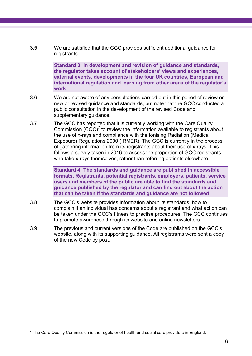3.5 We are satisfied that the GCC provides sufficient additional guidance for registrants.

> **Standard 3: In development and revision of guidance and standards, the regulator takes account of stakeholders' views and experiences, external events, developments in the four UK countries, European and international regulation and learning from other areas of the regulator's work**

- 3.6 We are not aware of any consultations carried out in this period of review on new or revised guidance and standards, but note that the GCC conducted a public consultation in the development of the revised Code and supplementary guidance.
- 3.7 The GCC has reported that it is currently working with the Care Quality Commission  $(CQC)^7$  to review the information available to registrants about the use of x-rays and compliance with the Ionising Radiation (Medical Exposure) Regulations 2000 (IRMER). The GCC is currently in the process of gathering information from its registrants about their use of x-rays. This follows a survey taken in 2016 to assess the proportion of GCC registrants who take x-rays themselves, rather than referring patients elsewhere.

**Standard 4: The standards and guidance are published in accessible formats. Registrants, potential registrants, employers, patients, service users and members of the public are able to find the standards and guidance published by the regulator and can find out about the action that can be taken if the standards and guidance are not followed**

- <span id="page-9-0"></span>3.8 The GCC's website provides information about its standards, how to complain if an individual has concerns about a registrant and what action can be taken under the GCC's fitness to practise procedures. The GCC continues to promote awareness through its website and online newsletters.
- 3.9 The previous and current versions of the Code are published on the GCC's website, along with its supporting guidance. All registrants were sent a copy of the new Code by post.

The Care Quality Commission is the regulator of health and social care providers in England.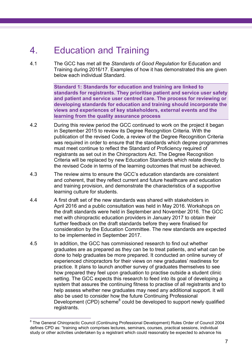# 4. Education and Training

4.1 The GCC has met all the *Standards of Good Regulation* for Education and Training during 2016/17. Examples of how it has demonstrated this are given below each individual Standard.

> **Standard 1: Standards for education and training are linked to standards for registrants. They prioritise patient and service user safety and patient and service user centred care. The process for reviewing or developing standards for education and training should incorporate the views and experiences of key stakeholders, external events and the learning from the quality assurance process**

- 4.2 During this review period the GCC continued to work on the project it began in September 2015 to review its Degree Recognition Criteria. With the publication of the revised Code, a review of the Degree Recognition Criteria was required in order to ensure that the standards which degree programmes must meet continue to reflect the Standard of Proficiency required of registrants as set out in the Chiropractors Act. The Degree Recognition Criteria will be replaced by new Education Standards which relate directly to the revised Code in terms of the learning outcomes that must be achieved.
- 4.3 The review aims to ensure the GCC's education standards are consistent and coherent, that they reflect current and future healthcare and education and training provision, and demonstrate the characteristics of a supportive learning culture for students.
- 4.4 A first draft set of the new standards was shared with stakeholders in April 2016 and a public consultation was held in May 2016. Workshops on the draft standards were held in September and November 2016. The GCC met with chiropractic education providers in January 2017 to obtain their further feedback on the draft standards before they were finalised for consideration by the Education Committee. The new standards are expected to be implemented in September 2017.
- 4.5 In addition, the GCC has commissioned research to find out whether graduates are as prepared as they can be to treat patients, and what can be done to help graduates be more prepared. It conducted an online survey of experienced chiropractors for their views on new graduates' readiness for practice. It plans to launch another survey of graduates themselves to see how prepared they feel upon graduation to practise outside a student clinic setting. The GCC expects this research to feed into its goal of developing a system that assures the continuing fitness to practise of all registrants and to help assess whether new graduates may need any additional support. It will also be used to consider how the future Continuing Professional Development (CPD) scheme<sup>8</sup> could be developed to support newly qualified registrants.

 $\overline{a}$ 

<sup>&</sup>lt;sup>8</sup> The General Chiropractic Council (Continuing Professional Development) Rules Order of Council 2004 defines CPD as: "training which comprises lectures, seminars, courses, practical sessions, individual study or other activities undertaken by a registrant which could reasonably be expected to advance his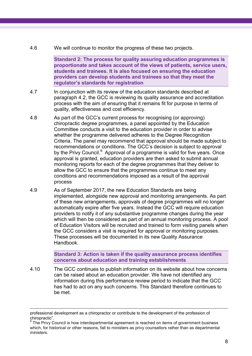4.6 We will continue to monitor the progress of these two projects.

**Standard 2: The process for quality assuring education programmes is proportionate and takes account of the views of patients, service users, students and trainees. It is also focused on ensuring the education providers can develop students and trainees so that they meet the regulator's standards for registration**

- 4.7 In conjunction with its review of the education standards described at paragraph 4.2, the GCC is reviewing its quality assurance and accreditation process with the aim of ensuring that it remains fit for purpose in terms of quality, effectiveness and cost efficiency.
- 4.8 As part of the GCC's current process for recognising (or approving) chiropractic degree programmes, a panel appointed by the Education Committee conducts a visit to the education provider in order to advise whether the programme delivered adheres to the Degree Recognition Criteria. The panel may recommend that approval should be made subject to recommendations or conditions. The GCC's decision is subject to approval by the Privy Council.<sup>9</sup> Approval of a programme is valid for five years. Once approval is granted, education providers are then asked to submit annual monitoring reports for each of the degree programmes that they deliver to allow the GCC to ensure that the programmes continue to meet any conditions and recommendations imposed as a result of the approval process
- 4.9 As of September 2017, the new Education Standards are being implemented, alongside new approval and monitoring arrangements. As part of these new arrangements, approvals of degree programmes will no longer automatically expire after five years. Instead the GCC will require education providers to notify it of any substantive programme changes during the year which will then be considered as part of an annual monitoring process. A pool of Education Visitors will be recruited and trained to form visiting panels when the GCC considers a visit is required for approval or monitoring purposes. These processes will be documented in its new Quality Assurance Handbook.

**Standard 3: Action is taken if the quality assurance process identifies concerns about education and training establishments**

4.10 The GCC continues to publish information on its website about how concerns can be raised about an education provider. We have not identified any information during this performance review period to indicate that the GCC has had to act on any such concerns. This Standard therefore continues to be met.

 $\overline{a}$ 

professional development as a chiropractor or contribute to the development of the profession of chiropractic".

 $9$  The Privy Council is how interdepartmental agreement is reached on items of government business which, for historical or other reasons, fall to ministers as privy counsellors rather than as departmental ministers.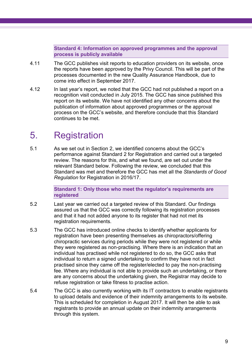**Standard 4: Information on approved programmes and the approval process is publicly available**

- 4.11 The GCC publishes visit reports to education providers on its website, once the reports have been approved by the Privy Council. This will be part of the processes documented in the new Quality Assurance Handbook, due to come into effect in September 2017.
- 4.12 In last year's report, we noted that the GCC had not published a report on a recognition visit conducted in July 2015. The GCC has since published this report on its website. We have not identified any other concerns about the publication of information about approved programmes or the approval process on the GCC's website, and therefore conclude that this Standard continues to be met.

### <span id="page-12-0"></span>5. Registration

5.1 As we set out in Section 2, we identified concerns about the GCC's performance against Standard 2 for Registration and carried out a targeted review. The reasons for this, and what we found, are set out under the relevant Standard below. Following the review, we concluded that this Standard was met and therefore the GCC has met all the *Standards of Good Regulation* for Registration in 2016/17.

> **Standard 1: Only those who meet the regulator's requirements are registered**

- 5.2 Last year we carried out a targeted review of this Standard. Our findings assured us that the GCC was correctly following its registration processes and that it had not added anyone to its register that had not met its registration requirements.
- 5.3 The GCC has introduced online checks to identify whether applicants for registration have been presenting themselves as chiropractors/offering chiropractic services during periods while they were not registered or while they were registered as non-practising. Where there is an indication that an individual has practised while not registered to do so, the GCC asks that individual to return a signed undertaking to confirm they have not in fact practised since they came off the register/elected to pay the non-practising fee. Where any individual is not able to provide such an undertaking, or there are any concerns about the undertaking given, the Registrar may decide to refuse registration or take fitness to practise action.
- 5.4 The GCC is also currently working with its IT contractors to enable registrants to upload details and evidence of their indemnity arrangements to its website. This is scheduled for completion in August 2017. It will then be able to ask registrants to provide an annual update on their indemnity arrangements through this system.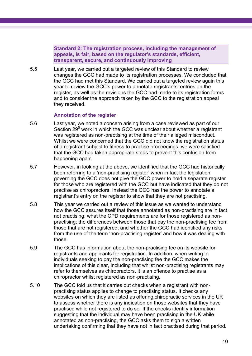**Standard 2: The registration process, including the management of appeals, is fair, based on the regulator's standards, efficient, transparent, secure, and continuously improving**

5.5 Last year, we carried out a targeted review of this Standard to review changes the GCC had made to its registration processes. We concluded that the GCC had met this Standard. We carried out a targeted review again this year to review the GCC's power to annotate registrants' entries on the register, as well as the revisions the GCC had made to its registration forms and to consider the approach taken by the GCC to the registration appeal they received.

#### **Annotation of the register**

- 5.6 Last year, we noted a concern arising from a case reviewed as part of our Section 29<sup>[5](#page-6-1)</sup> work in which the GCC was unclear about whether a registrant was registered as non-practising at the time of their alleged misconduct. Whilst we were concerned that the GCC did not know the registration status of a registrant subject to fitness to practise proceedings, we were satisfied that the GCC had taken appropriate steps to prevent this confusion from happening again.
- 5.7 However, in looking at the above, we identified that the GCC had historically been referring to a 'non-practising register' when in fact the legislation governing the GCC does not give the GCC power to hold a separate register for those who are registered with the GCC but have indicated that they do not practise as chiropractors. Instead the GCC has the power to annotate a registrant's entry on the register to show that they are not practising.
- 5.8 This year we carried out a review of this issue as we wanted to understand how the GCC assures itself that those annotated as non-practising are in fact not practising; what the CPD requirements are for those registered as nonpractising; the differences between those that pay the non-practising fee from those that are not registered; and whether the GCC had identified any risks from the use of the term 'non-practising register' and how it was dealing with those.
- 5.9 The GCC has information about the non-practising fee on its website for registrants and applicants for registration. In addition, when writing to individuals seeking to pay the non-practising fee the GCC makes the implications of this clear, including that whilst non-practising registrants may refer to themselves as chiropractors, it is an offence to practise as a chiropractor whilst registered as non-practising.
- 5.10 The GCC told us that it carries out checks when a registrant with nonpractising status applies to change to practising status. It checks any websites on which they are listed as offering chiropractic services in the UK to assess whether there is any indication on those websites that they have practised while not registered to do so. If the checks identify information suggesting that the individual may have been practising in the UK while annotated as non-practising, the GCC asks them to sign a written undertaking confirming that they have not in fact practised during that period.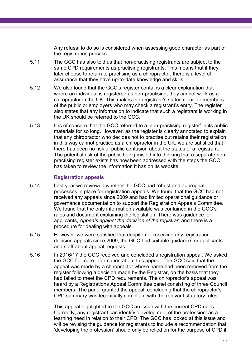Any refusal to do so is considered when assessing good character as part of the registration process.

- 5.11 The GCC has also told us that non-practising registrants are subject to the same CPD requirements as practising registrants. This means that if they later choose to return to practising as a chiropractor, there is a level of assurance that they have up-to-date knowledge and skills.
- 5.12 We also found that the GCC's register contains a clear explanation that where an individual is registered as non-practising, they cannot work as a chiropractor in the UK. This makes the registrant's status clear for members of the public or employers who may check a registrant's entry. The register also states that any information to indicate that such a registrant is working in the UK should be referred to the GCC.
- 5.13 It is of concern that the GCC referred to a 'non-practising register' in its public materials for so long. However, as the register is clearly annotated to explain that any chiropractor who decides not to practise but retains their registration in this way cannot practice as a chiropractor in the UK, we are satisfied that there has been no risk of public confusion about the status of a registrant. The potential risk of the public being misled into thinking that a separate nonpractising register exists has now been addressed with the steps the GCC has taken to review the information it has on its website.

#### **Registration appeals**

- 5.14 Last year we reviewed whether the GCC had robust and appropriate processes in place for registration appeals. We found that the GCC had not received any appeals since 2009 and had limited operational guidance or governance documentation to support the Registration Appeals Committee. We found that the only information available was contained in the GCC's rules and document explaining the legislation. There was guidance for applicants, *Appeals against the decision of the registrar*, and there is a procedure for dealing with appeals.
- 5.15 However, we were satisfied that despite not receiving any registration decision appeals since 2009, the GCC had suitable guidance for applicants and staff about appeal requests.
- 5.16 In 2016/17 the GCC received and concluded a registration appeal. We asked the GCC for more information about this appeal. The GCC said that the appeal was made by a chiropractor whose name had been removed from the register following a decision made by the Registrar, on the basis that they had failed to meet the CPD requirements. The chiropractor's appeal was heard by a Registrations Appeal Committee panel consisting of three Council members. The panel granted the appeal, concluding that the chiropractor's CPD summary was technically compliant with the relevant statutory rules.

This appeal highlighted to the GCC an issue with the current CPD rules. Currently, any registrant can identify 'development of the profession' as a learning need in relation to their CPD. The GCC has looked at this issue and will be revising the guidance for registrants to include a recommendation that 'developing the profession' should only be relied on for the purpose of CPD if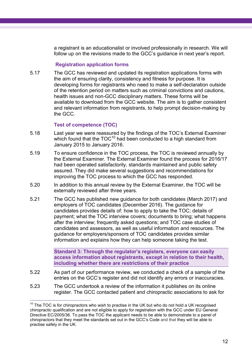a registrant is an educationalist or involved professionally in research. We will follow up on the revisions made to the GCC's guidance in next year's report.

#### **Registration application forms**

5.17 The GCC has reviewed and updated its registration applications forms with the aim of ensuring clarity, consistency and fitness for purpose. It is developing forms for registrants who need to make a self-declaration outside of the retention period on matters such as criminal convictions and cautions, health issues and non-GCC disciplinary matters. These forms will be available to download from the GCC website. The aim is to gather consistent and relevant information from registrants, to help prompt decision-making by the GCC.

#### **Test of competence (TOC)**

- 5.18 Last year we were reassured by the findings of the TOC's External Examiner which found that the  $TOC^{10}$  had been conducted to a high standard from January 2015 to January 2016.
- 5.19 To ensure confidence in the TOC process, the TOC is reviewed annually by the External Examiner. The External Examiner found the process for 2016/17 had been operated satisfactorily, standards maintained and public safety assured. They did make several suggestions and recommendations for improving the TOC process to which the GCC has responded.
- 5.20 In addition to this annual review by the External Examiner, the TOC will be externally reviewed after three years.
- 5.21 The GCC has published new guidance for both candidates (March 2017) and employers of TOC candidates (December 2016). The guidance for candidates provides details of: how to apply to take the TOC; details of payment; what the TOC interview covers; documents to bring; what happens after the interview; frequently asked questions; and TOC case studies of candidates and assessors, as well as useful information and resources. The guidance for employers/sponsors of TOC candidates provides similar information and explains how they can help someone taking the test.

**Standard 3: Through the regulator's registers, everyone can easily access information about registrants, except in relation to their health, including whether there are restrictions of their practice**

- 5.22 As part of our performance review, we conducted a check of a sample of the entries on the GCC's register and did not identify any errors or inaccuracies.
- 5.23 The GCC undertook a review of the information it publishes on its online register. The GCC contacted patient and chiropractic associations to ask for

 $\overline{a}$  $10$  The TOC is for chiropractors who wish to practise in the UK but who do not hold a UK recognised chiropractic qualification and are not eligible to apply for registration with the GCC under EU General Directive EC/2005/36. To pass the TOC the applicant needs to be able to demonstrate to a panel of chiropractors that they meet the standards set out in the GCC's Code and that they will be able to practise safely in the UK.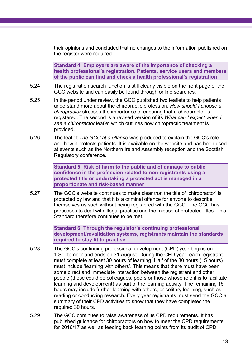their opinions and concluded that no changes to the information published on the register were required.

**Standard 4: Employers are aware of the importance of checking a health professional's registration. Patients, service users and members of the public can find and check a health professional's registration**

- 5.24 The registration search function is still clearly visible on the front page of the GCC website and can easily be found through online searches.
- 5.25 In the period under review, the GCC published two leaflets to help patients understand more about the chiropractic profession. *How should I choose a chiropractor* stresses the importance of ensuring that a chiropractor is registered. The second is a revised version of its *What can I expect when I see a chiropractor* leaflet which outlines how chiropractic treatment is provided.
- 5.26 The leaflet *The GCC at a Glance* was produced to explain the GCC's role and how it protects patients. It is available on the website and has been used at events such as the Northern Ireland Assembly reception and the Scottish Regulatory conference.

**Standard 5: Risk of harm to the public and of damage to public confidence in the profession related to non-registrants using a protected title or undertaking a protected act is managed in a proportionate and risk-based manner**

5.27 The GCC's website continues to make clear that the title of 'chiropractor' is protected by law and that it is a criminal offence for anyone to describe themselves as such without being registered with the GCC. The GCC has processes to deal with illegal practice and the misuse of protected titles. This Standard therefore continues to be met.

> **Standard 6: Through the regulator's continuing professional development/revalidation systems, registrants maintain the standards required to stay fit to practise**

- 5.28 The GCC's continuing professional development (CPD) year begins on 1 September and ends on 31 August. During the CPD year, each registrant must complete at least 30 hours of learning. Half of the 30 hours (15 hours) must include 'learning with others'. This means that there must have been some direct and immediate interaction between the registrant and other people (these could be colleagues, peers or those whose role it is to facilitate learning and development) as part of the learning activity. The remaining 15 hours may include further learning with others, or solitary learning, such as reading or conducting research. Every year registrants must send the GCC a summary of their CPD activities to show that they have completed the required 30 hours.
- 5.29 The GCC continues to raise awareness of its CPD requirements. It has published guidance for chiropractors on how to meet the CPD requirements for 2016/17 as well as feeding back learning points from its audit of CPD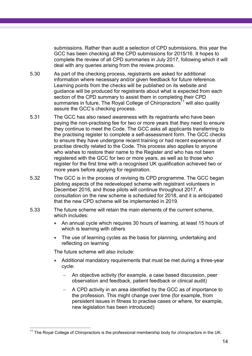submissions. Rather than audit a selection of CPD submissions, this year the GCC has been checking all the CPD submissions for 2015/16. It hopes to complete the review of all CPD summaries in July 2017, following which it will deal with any queries arising from the review process.

- 5.30 As part of the checking process, registrants are asked for additional information where necessary and/or given feedback for future reference. Learning points from the checks will be published on its website and guidance will be produced for registrants about what is expected from each section of the CPD summary to assist them in completing their CPD summaries in future. The Royal College of Chiropractors<sup>11</sup> will also quality assure the GCC's checking process.
- 5.31 The GCC has also raised awareness with its registrants who have been paying the non-practising fee for two or more years that they need to ensure they continue to meet the Code. The GCC asks all applicants transferring to the practising register to complete a self-assessment form. The GCC checks to ensure they have undergone recent training or had recent experience of practise directly related to the Code. This process also applies to anyone who wishes to restore their name to the Register and who has not been registered with the GCC for two or more years, as well as to those who register for the first time with a recognised UK qualification achieved two or more years before applying for registration.
- 5.32 The GCC is in the process of revising its CPD programme. The GCC began piloting aspects of the redeveloped scheme with registrant volunteers in December 2016, and those pilots will continue throughout 2017. A consultation on the new scheme is scheduled for 2018, and it is anticipated that the new CPD scheme will be implemented in 2019.
- 5.33 The future scheme will retain the main elements of the current scheme, which includes:
	- An annual cycle which requires 30 hours of learning, at least 15 hours of which is learning with others
	- The use of learning cycles as the basis for planning, undertaking and reflecting on learning

The future scheme will also include:

- Additional mandatory requirements that must be met during a three-year cycle:
	- An objective activity (for example, a case based discussion, peer observation and feedback, patient feedback or clinical audit)
	- A CPD activity in an area identified by the GCC as of importance to the profession. This might change over time (for example, from persistent issues in fitness to practise cases or where, for example, new legislation has been introduced)

 $\overline{a}$  $11$  The Royal College of Chiropractors is the professional membership body for chiropractors in the UK.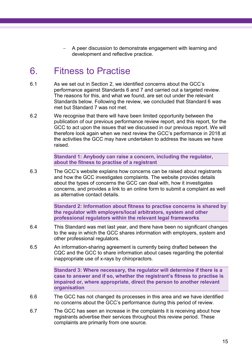A peer discussion to demonstrate engagement with learning and development and reflective practice.

### <span id="page-18-0"></span>6. Fitness to Practise

- 6.1 As we set out in Section 2, we identified concerns about the GCC's performance against Standards 6 and 7 and carried out a targeted review. The reasons for this, and what we found, are set out under the relevant Standards below. Following the review, we concluded that Standard 6 was met but Standard 7 was not met.
- 6.2 We recognise that there will have been limited opportunity between the publication of our previous performance review report, and this report, for the GCC to act upon the issues that we discussed in our previous report. We will therefore look again when we next review the GCC's performance in 2018 at the activities the GCC may have undertaken to address the issues we have raised.

**Standard 1: Anybody can raise a concern, including the regulator, about the fitness to practise of a registrant**

6.3 The GCC's website explains how concerns can be raised about registrants and how the GCC investigates complaints. The website provides details about the types of concerns the GCC can deal with, how it investigates concerns, and provides a link to an online form to submit a complaint as well as alternative contact details.

> **Standard 2: Information about fitness to practise concerns is shared by the regulator with employers/local arbitrators, system and other professional regulators within the relevant legal frameworks**

- 6.4 This Standard was met last year, and there have been no significant changes to the way in which the GCC shares information with employers, system and other professional regulators.
- 6.5 An information-sharing agreement is currently being drafted between the CQC and the GCC to share information about cases regarding the potential inappropriate use of x-rays by chiropractors.

**Standard 3: Where necessary, the regulator will determine if there is a case to answer and if so, whether the registrant's fitness to practise is impaired or, where appropriate, direct the person to another relevant organisation**

- 6.6 The GCC has not changed its processes in this area and we have identified no concerns about the GCC's performance during this period of review.
- 6.7 The GCC has seen an increase in the complaints it is receiving about how registrants advertise their services throughout this review period. These complaints are primarily from one source.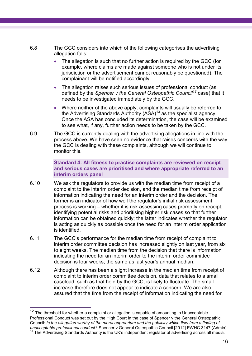- 6.8 The GCC considers into which of the following categorises the advertising allegation falls:
	- The allegation is such that no further action is required by the GCC (for example, where claims are made against someone who is not under its jurisdiction or the advertisement cannot reasonably be questioned). The complainant will be notified accordingly.
	- The allegation raises such serious issues of professional conduct (as defined by the *Spencer v the General Osteopathic Council<sup>12</sup>* case) that it needs to be investigated immediately by the GCC.
	- Where neither of the above apply, complaints will usually be referred to the Advertising Standards Authority  $(ASA)^{13}$  as the specialist agency. Once the ASA has concluded its determination, the case will be examined to see what, if any, further action needs to be taken by the GCC.
- 6.9 The GCC is currently dealing with the advertising allegations in line with the process above. We have seen no evidence that raises concerns with the way the GCC is dealing with these complaints, although we will continue to monitor this.

**Standard 4: All fitness to practise complaints are reviewed on receipt and serious cases are prioritised and where appropriate referred to an interim orders panel**

- 6.10 We ask the regulators to provide us with the median time from receipt of a complaint to the interim order decision, and the median time from receipt of information indicating the need for an interim order and the decision. The former is an indicator of how well the regulator's initial risk assessment process is working – whether it is risk assessing cases promptly on receipt, identifying potential risks and prioritising higher risk cases so that further information can be obtained quickly; the latter indicates whether the regulator is acting as quickly as possible once the need for an interim order application is identified.
- 6.11 The GCC's performance for the median time from receipt of complaint to interim order committee decision has increased slightly on last year, from six to eight weeks. The median time from the decision that there is information indicating the need for an interim order to the interim order committee decision is four weeks; the same as last year's annual median.
- 6.12 Although there has been a slight increase in the median time from receipt of complaint to interim order committee decision, data that relates to a small caseload, such as that held by the GCC, is likely to fluctuate. The small increase therefore does not appear to indicate a concern. We are also assured that the time from the receipt of information indicating the need for

 $\overline{a}$ 

 $12$  The threshold for whether a complaint or allegation is capable of amounting to Unacceptable Professional Conduct was set out by the High Court in the case of Spencer v the General Osteopathic Council: *Is the allegation worthy of the moral opprobrium and the publicity which flow from a finding of unacceptable professional conduct?* Spencer v General Osteopathic Council [2012] EWHC 3147 (Admin).

<sup>13</sup> The Advertising Standards Authority is the UK's independent regulator of advertising across all media.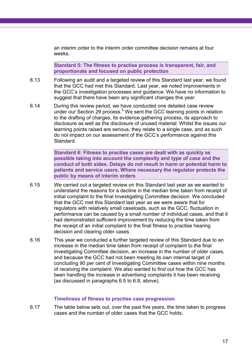an interim order to the interim order committee decision remains at four weeks.

**Standard 5: The fitness to practise process is transparent, fair, and proportionate and focused on public protection**

- 6.13 Following an audit and a targeted review of this Standard last year, we found that the GCC had met this Standard. Last year, we noted improvements in the GCC's investigation processes and guidance. We have no information to suggest that there have been any significant changes this year.
- 6.14 During this review period, we have conducted one detailed case review under our Section 29 process.<sup>[5](#page-6-1)</sup> We sent the GCC learning points in relation to the drafting of charges, its evidence gathering process, its approach to disclosure as well as the disclosure of unused material. Whilst the issues our learning points raised are serious, they relate to a single case, and as such do not impact on our assessment of the GCC's performance against this Standard.

**Standard 6: Fitness to practise cases are dealt with as quickly as possible taking into account the complexity and type of case and the conduct of both sides. Delays do not result in harm or potential harm to patients and service users. Where necessary the regulator protects the public by means of interim orders**

- 6.15 We carried out a targeted review on this Standard last year as we wanted to understand the reasons for a decline in the median time taken from receipt of initial complaint to the final Investigating Committee decision. We concluded that the GCC met this Standard last year as we were aware that for regulators with relatively small caseloads, such as the GCC, fluctuation in performance can be caused by a small number of individual cases, and that it had demonstrated sufficient improvement by reducing the time taken from the receipt of an initial complaint to the final fitness to practise hearing decision and clearing older cases.
- 6.16 This year we conducted a further targeted review of this Standard due to an increase in the median time taken from receipt of complaint to the final Investigating Committee decision, an increase in the number of older cases, and because the GCC had not been meeting its own internal target of concluding 90 per cent of Investigating Committee cases within nine months of receiving the complaint. We also wanted to find out how the GCC has been handling the increase in advertising complaints it has been receiving (as discussed in paragraphs 6.5 to 6.8, above).

#### **Timeliness of fitness to practise case progression**

6.17 The table below sets out, over the past five years, the time taken to progress cases and the number of older cases that the GCC holds.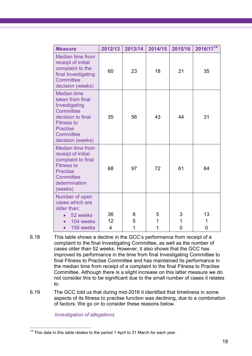| <b>Measure</b>                                                                                                                                                     | 2012/13       | 2013/14     | 2014/15     | 2015/16                  | 2016/1714    |
|--------------------------------------------------------------------------------------------------------------------------------------------------------------------|---------------|-------------|-------------|--------------------------|--------------|
| <b>Median time from</b><br>receipt of initial<br>complaint to the<br>final Investigating<br>Committee<br>decision (weeks)                                          | 60            | 23          | 18          | 21                       | 35           |
| <b>Median time</b><br>taken from final<br>Investigating<br>Committee<br>decision to final<br><b>Fitness to</b><br><b>Practise</b><br>Committee<br>decision (weeks) | 35            | 56          | 43          | 44                       | 31           |
| <b>Median time from</b><br>receipt of initial<br>complaint to final<br><b>Fitness to</b><br><b>Practise</b><br>Committee<br>determination<br>(weeks)               | 68            | 97          | 72          | 61                       | 64           |
| Number of open<br>cases which are<br>older than:<br>52 weeks<br>104 weeks<br>156 weeks<br>$\bullet$                                                                | 36<br>12<br>4 | 8<br>5<br>1 | 5<br>1<br>1 | 3<br>$\overline{1}$<br>0 | 13<br>1<br>0 |

- 6.18 This table shows a decline in the GCC's performance from receipt of a complaint to the final Investigating Committee, as well as the number of cases older than 52 weeks. However, it also shows that the GCC has improved its performance in the time from final Investigating Committee to final Fitness to Practise Committee and has maintained its performance in the median time from receipt of a complaint to the final Fitness to Practise Committee. Although there is a slight increase on this latter measure we do not consider this to be significant due to the small number of cases it relates to.
- 6.19 The GCC told us that during mid-2016 it identified that timeliness in some aspects of its fitness to practise function was declining, due to a combination of factors. We go on to consider these reasons below.

*Investigation of allegations*

 $\overline{a}$  $14$  This data in this table relates to the period 1 April to 31 March for each year.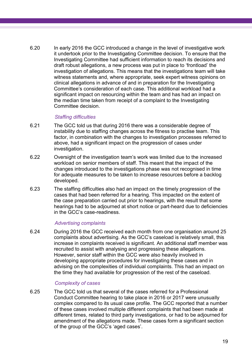6.20 In early 2016 the GCC introduced a change in the level of investigative work it undertook prior to the Investigating Committee decision. To ensure that the Investigating Committee had sufficient information to reach its decisions and draft robust allegations, a new process was put in place to 'frontload' the investigation of allegations. This means that the investigations team will take witness statements and, where appropriate, seek expert witness opinions on clinical allegations in advance of and in preparation for the Investigating Committee's consideration of each case. This additional workload had a significant impact on resourcing within the team and has had an impact on the median time taken from receipt of a complaint to the Investigating Committee decision.

#### *Staffing difficulties*

- 6.21 The GCC told us that during 2016 there was a considerable degree of instability due to staffing changes across the fitness to practise team. This factor, in combination with the changes to investigation processes referred to above, had a significant impact on the progression of cases under investigation.
- 6.22 Oversight of the investigation team's work was limited due to the increased workload on senior members of staff. This meant that the impact of the changes introduced to the investigations phase was not recognised in time for adequate measures to be taken to increase resources before a backlog developed.
- 6.23 The staffing difficulties also had an impact on the timely progression of the cases that had been referred for a hearing. This impacted on the extent of the case preparation carried out prior to hearings, with the result that some hearings had to be adjourned at short notice or part-heard due to deficiencies in the GCC's case-readiness.

#### *Advertising complaints*

6.24 During 2016 the GCC received each month from one organisation around 25 complaints about advertising. As the GCC's caseload is relatively small, this increase in complaints received is significant. An additional staff member was recruited to assist with analysing and progressing these allegations. However, senior staff within the GCC were also heavily involved in developing appropriate procedures for investigating these cases and in advising on the complexities of individual complaints. This had an impact on the time they had available for progression of the rest of the caseload.

#### *Complexity of cases*

6.25 The GCC told us that several of the cases referred for a Professional Conduct Committee hearing to take place in 2016 or 2017 were unusually complex compared to its usual case profile. The GCC reported that a number of these cases involved multiple different complaints that had been made at different times, related to third party investigations, or had to be adjourned for amendment of the allegations made. These cases form a significant section of the group of the GCC's 'aged cases'.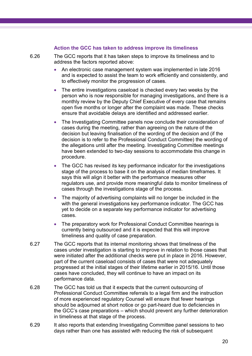#### **Action the GCC has taken to address improve its timeliness**

6.26 The GCC reports that it has taken steps to improve its timeliness and to address the factors reported above:

- An electronic case management system was implemented in late 2016 and is expected to assist the team to work efficiently and consistently, and to effectively monitor the progression of cases.
- The entire investigations caseload is checked every two weeks by the person who is now responsible for managing investigations, and there is a monthly review by the Deputy Chief Executive of every case that remains open five months or longer after the complaint was made. These checks ensure that avoidable delays are identified and addressed earlier.
- The Investigating Committee panels now conclude their consideration of cases during the meeting, rather than agreeing on the nature of the decision but leaving finalisation of the wording of the decision and (if the decision is to refer to the Professional Conduct Committee) the wording of the allegations until after the meeting. Investigating Committee meetings have been extended to two-day sessions to accommodate this change in procedure.
- The GCC has revised its key performance indicator for the investigations stage of the process to base it on the analysis of median timeframes. It says this will align it better with the performance measures other regulators use, and provide more meaningful data to monitor timeliness of cases through the investigations stage of the process.
- The majority of advertising complaints will no longer be included in the with the general investigations key performance indicator. The GCC has yet to decide on a separate key performance indicator for advertising cases.
- The preparatory work for Professional Conduct Committee hearings is currently being outsourced and it is expected that this will improve timeliness and quality of case preparation.
- 6.27 The GCC reports that its internal monitoring shows that timeliness of the cases under investigation is starting to improve in relation to those cases that were initiated after the additional checks were put in place in 2016. However, part of the current caseload consists of cases that were not adequately progressed at the initial stages of their lifetime earlier in 2015/16. Until those cases have concluded, they will continue to have an impact on its performance data.
- 6.28 The GCC has told us that it expects that the current outsourcing of Professional Conduct Committee referrals to a legal firm and the instruction of more experienced regulatory Counsel will ensure that fewer hearings should be adjourned at short notice or go part-heard due to deficiencies in the GCC's case preparations – which should prevent any further deterioration in timeliness at that stage of the process.
- 6.29 It also reports that extending Investigating Committee panel sessions to two days rather than one has assisted with reducing the risk of subsequent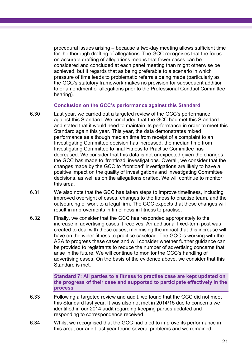procedural issues arising – because a two-day meeting allows sufficient time for the thorough drafting of allegations. The GCC recognises that the focus on accurate drafting of allegations means that fewer cases can be considered and concluded at each panel meeting than might otherwise be achieved, but it regards that as being preferable to a scenario in which pressure of time leads to problematic referrals being made (particularly as the GCC's statutory framework makes no provision for subsequent addition to or amendment of allegations prior to the Professional Conduct Committee hearing).

#### **Conclusion on the GCC's performance against this Standard**

- 6.30 Last year, we carried out a targeted review of the GCC's performance against this Standard. We concluded that the GCC had met this Standard and stated that it would need to maintain its performance in order to meet this Standard again this year. This year, the data demonstrates mixed performance as although median time from receipt of a complaint to an Investigating Committee decision has increased, the median time from Investigating Committee to final Fitness to Practise Committee has decreased. We consider that this data is not unexpected given the changes the GCC has made to 'frontload' investigations. Overall, we consider that the changes made by the GCC to 'frontload' investigations are likely to have a positive impact on the quality of investigations and Investigating Committee decisions, as well as on the allegations drafted. We will continue to monitor this area.
- 6.31 We also note that the GCC has taken steps to improve timeliness, including improved oversight of cases, changes to the fitness to practise team, and the outsourcing of work to a legal firm. The GCC expects that these changes will result in improvements in timeliness in fitness to practise.
- 6.32 Finally, we consider that the GCC has responded appropriately to the increase in advertising cases it receives. An additional fixed-term post was created to deal with these cases, minimising the impact that this increase will have on the wider fitness to practise caseload. The GCC is working with the ASA to progress these cases and will consider whether further guidance can be provided to registrants to reduce the number of advertising concerns that arise in the future. We will continue to monitor the GCC's handling of advertising cases. On the basis of the evidence above, we consider that this Standard is met.

**Standard 7: All parties to a fitness to practise case are kept updated on the progress of their case and supported to participate effectively in the process**

- 6.33 Following a targeted review and audit, we found that the GCC did not meet this Standard last year. It was also not met in 2014/15 due to concerns we identified in our 2014 audit regarding keeping parties updated and responding to correspondence received.
- 6.34 Whilst we recognised that the GCC had tried to improve its performance in this area, our audit last year found several problems and we remained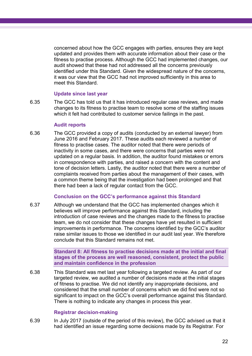concerned about how the GCC engages with parties, ensures they are kept updated and provides them with accurate information about their case or the fitness to practise process. Although the GCC had implemented changes, our audit showed that these had not addressed all the concerns previously identified under this Standard. Given the widespread nature of the concerns, it was our view that the GCC had not improved sufficiently in this area to meet this Standard.

#### **Update since last year**

6.35 The GCC has told us that it has introduced regular case reviews, and made changes to its fitness to practise team to resolve some of the staffing issues which it felt had contributed to customer service failings in the past.

#### **Audit reports**

6.36 The GCC provided a copy of audits (conducted by an external lawyer) from June 2016 and February 2017. These audits each reviewed a number of fitness to practise cases. The auditor noted that there were periods of inactivity in some cases, and there were concerns that parties were not updated on a regular basis. In addition, the auditor found mistakes or errors in correspondence with parties, and raised a concern with the content and tone of decision letters. Lastly, the auditor noted that there were a number of complaints received from parties about the management of their cases, with a common theme being that the investigation had been prolonged and that there had been a lack of regular contact from the GCC.

#### **Conclusion on the GCC's performance against this Standard**

6.37 Although we understand that the GCC has implemented changes which it believes will improve performance against this Standard, including the introduction of case reviews and the changes made to the fitness to practise team, we do not consider that these changes have yet resulted in sufficient improvements in performance. The concerns identified by the GCC's auditor raise similar issues to those we identified in our audit last year. We therefore conclude that this Standard remains not met.

> **Standard 8: All fitness to practise decisions made at the initial and final stages of the process are well reasoned, consistent, protect the public and maintain confidence in the profession**

6.38 This Standard was met last year following a targeted review. As part of our targeted review, we audited a number of decisions made at the initial stages of fitness to practise. We did not identify any inappropriate decisions, and considered that the small number of concerns which we did find were not so significant to impact on the GCC's overall performance against this Standard. There is nothing to indicate any changes in process this year.

#### **Registrar decision-making**

6.39 In July 2017 (outside of the period of this review), the GCC advised us that it had identified an issue regarding some decisions made by its Registrar. For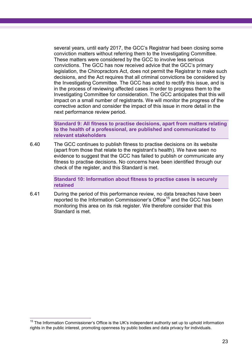several years, until early 2017, the GCC's Registrar had been closing some conviction matters without referring them to the Investigating Committee. These matters were considered by the GCC to involve less serious convictions. The GCC has now received advice that the GCC's primary legislation, the Chiropractors Act, does not permit the Registrar to make such decisions, and the Act requires that all criminal convictions be considered by the Investigating Committee. The GCC has acted to rectify this issue, and is in the process of reviewing affected cases in order to progress them to the Investigating Committee for consideration. The GCC anticipates that this will impact on a small number of registrants. We will monitor the progress of the corrective action and consider the impact of this issue in more detail in the next performance review period.

**Standard 9: All fitness to practise decisions, apart from matters relating to the health of a professional, are published and communicated to relevant stakeholders**

6.40 The GCC continues to publish fitness to practise decisions on its website (apart from those that relate to the registrant's health). We have seen no evidence to suggest that the GCC has failed to publish or communicate any fitness to practise decisions. No concerns have been identified through our check of the register, and this Standard is met.

> **Standard 10: Information about fitness to practise cases is securely retained**

6.41 During the period of this performance review, no data breaches have been reported to the Information Commissioner's Office<sup>15</sup> and the GCC has been monitoring this area on its risk register. We therefore consider that this Standard is met.

 $\overline{a}$  $15$  The Information Commissioner's Office is the UK's independent authority set up to uphold information [rights in the public interest,](https://ico.org.uk/about-the-ico/) promoting openness by public bodies and data privacy for individuals.